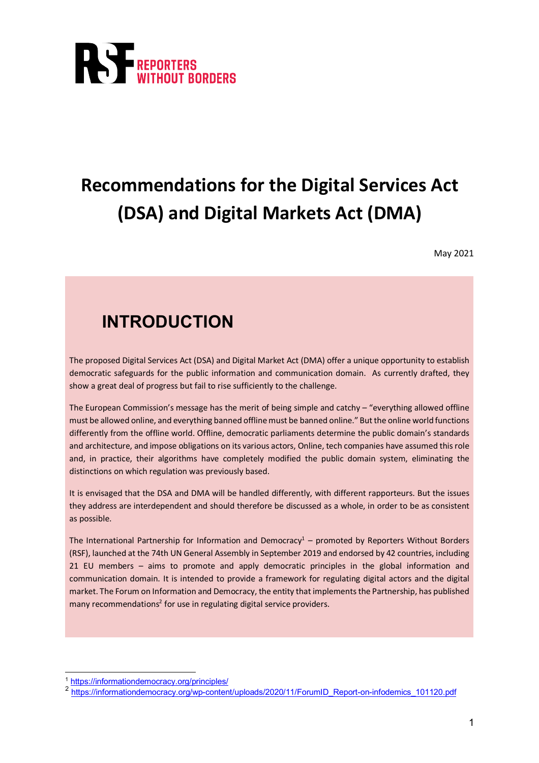

## **Recommendations for the Digital Services Act (DSA) and Digital Markets Act (DMA)**

May 2021

## **INTRODUCTION**

The proposed Digital Services Act (DSA) and Digital Market Act (DMA) offer a unique opportunity to establish democratic safeguards for the public information and communication domain. As currently drafted, they show a great deal of progress but fail to rise sufficiently to the challenge.

The European Commission's message has the merit of being simple and catchy – "everything allowed offline must be allowed online, and everything banned offline must be banned online." But the online world functions differently from the offline world. Offline, democratic parliaments determine the public domain's standards and architecture, and impose obligations on its various actors, Online, tech companies have assumed this role and, in practice, their algorithms have completely modified the public domain system, eliminating the distinctions on which regulation was previously based.

It is envisaged that the DSA and DMA will be handled differently, with different rapporteurs. But the issues they address are interdependent and should therefore be discussed as a whole, in order to be as consistent as possible.

The International Partnership for Information and Democracy<sup>1</sup> – promoted by Reporters Without Borders (RSF), launched at the 74th UN General Assembly in September 2019 and endorsed by 42 countries, including 21 EU members – aims to promote and apply democratic principles in the global information and communication domain. It is intended to provide a framework for regulating digital actors and the digital market. The Forum on Information and Democracy, the entity that implements the Partnership, has published many recommendations<sup>2</sup> for use in regulating digital service providers.

 <sup>1</sup> https://informationdemocracy.org/principles/

<sup>2</sup> https://informationdemocracy.org/wp-content/uploads/2020/11/ForumID\_Report-on-infodemics\_101120.pdf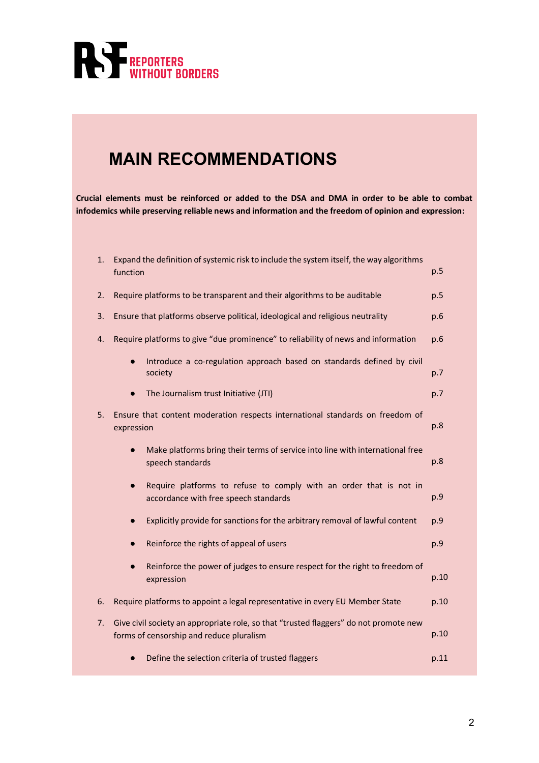

## **MAIN RECOMMENDATIONS**

**Crucial elements must be reinforced or added to the DSA and DMA in order to be able to combat infodemics while preserving reliable news and information and the freedom of opinion and expression:**

| 1. | Expand the definition of systemic risk to include the system itself, the way algorithms<br>function                               | p.5  |  |
|----|-----------------------------------------------------------------------------------------------------------------------------------|------|--|
| 2. | Require platforms to be transparent and their algorithms to be auditable                                                          |      |  |
| 3. | Ensure that platforms observe political, ideological and religious neutrality                                                     |      |  |
| 4. | Require platforms to give "due prominence" to reliability of news and information                                                 | p.6  |  |
|    | Introduce a co-regulation approach based on standards defined by civil<br>$\bullet$<br>society                                    | p.7  |  |
|    | The Journalism trust Initiative (JTI)<br>$\bullet$                                                                                | p.7  |  |
| 5. | Ensure that content moderation respects international standards on freedom of<br>expression                                       | p.8  |  |
|    | Make platforms bring their terms of service into line with international free<br>$\bullet$<br>speech standards                    | p.8  |  |
|    | Require platforms to refuse to comply with an order that is not in<br>accordance with free speech standards                       | p.9  |  |
|    | Explicitly provide for sanctions for the arbitrary removal of lawful content                                                      | p.9  |  |
|    | Reinforce the rights of appeal of users<br>$\bullet$                                                                              | p.9  |  |
|    | Reinforce the power of judges to ensure respect for the right to freedom of<br>expression                                         | p.10 |  |
| 6. | Require platforms to appoint a legal representative in every EU Member State                                                      | p.10 |  |
| 7. | Give civil society an appropriate role, so that "trusted flaggers" do not promote new<br>forms of censorship and reduce pluralism | p.10 |  |
|    | Define the selection criteria of trusted flaggers                                                                                 | p.11 |  |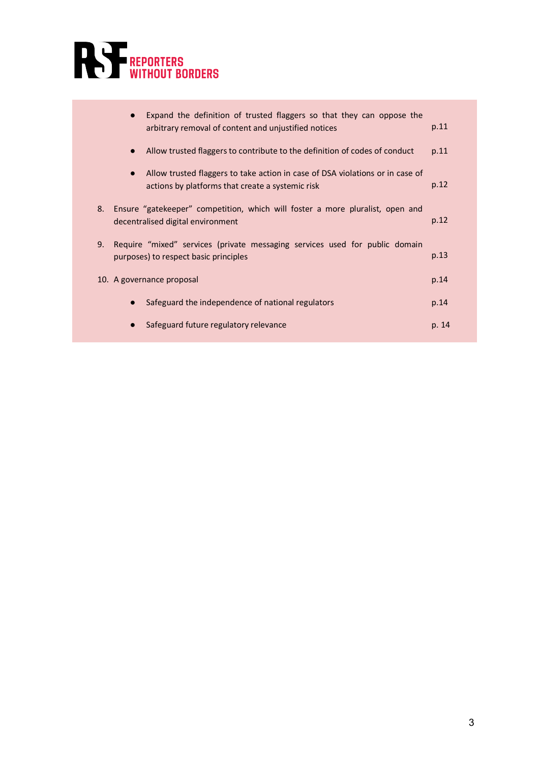

|    | $\bullet$ | Expand the definition of trusted flaggers so that they can oppose the<br>arbitrary removal of content and unjustified notices     | p.11  |
|----|-----------|-----------------------------------------------------------------------------------------------------------------------------------|-------|
|    | $\bullet$ | Allow trusted flaggers to contribute to the definition of codes of conduct                                                        | p.11  |
|    | $\bullet$ | Allow trusted flaggers to take action in case of DSA violations or in case of<br>actions by platforms that create a systemic risk | p.12  |
| 8. |           | Ensure "gatekeeper" competition, which will foster a more pluralist, open and<br>decentralised digital environment                | p.12  |
| 9. |           | Require "mixed" services (private messaging services used for public domain<br>purposes) to respect basic principles              | p.13  |
|    |           | 10. A governance proposal                                                                                                         | p.14  |
|    | $\bullet$ | Safeguard the independence of national regulators                                                                                 | p.14  |
|    |           | Safeguard future regulatory relevance                                                                                             | p. 14 |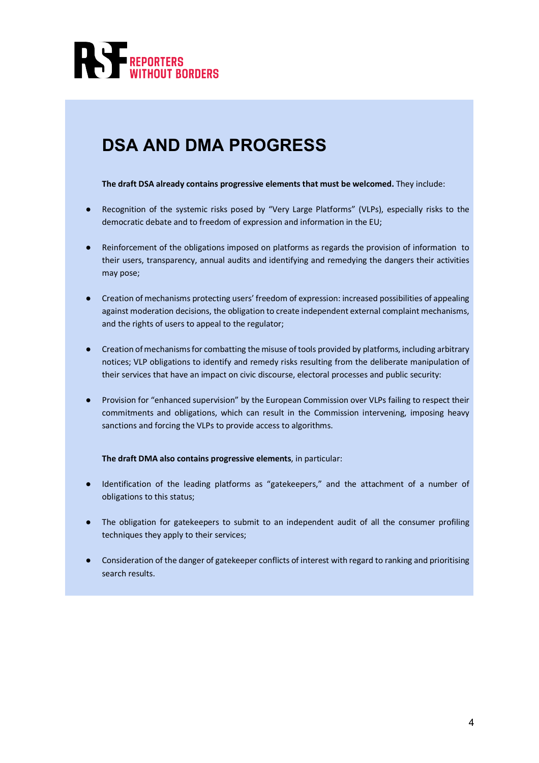## **DSA AND DMA PROGRESS**

**The draft DSA already contains progressive elements that must be welcomed.** They include:

- Recognition of the systemic risks posed by "Very Large Platforms" (VLPs), especially risks to the democratic debate and to freedom of expression and information in the EU;
- Reinforcement of the obligations imposed on platforms as regards the provision of information to their users, transparency, annual audits and identifying and remedying the dangers their activities may pose;
- Creation of mechanisms protecting users' freedom of expression: increased possibilities of appealing against moderation decisions, the obligation to create independent external complaint mechanisms, and the rights of users to appeal to the regulator;
- Creation of mechanisms for combatting the misuse of tools provided by platforms, including arbitrary notices; VLP obligations to identify and remedy risks resulting from the deliberate manipulation of their services that have an impact on civic discourse, electoral processes and public security:
- Provision for "enhanced supervision" by the European Commission over VLPs failing to respect their commitments and obligations, which can result in the Commission intervening, imposing heavy sanctions and forcing the VLPs to provide access to algorithms.

**The draft DMA also contains progressive elements**, in particular:

- Identification of the leading platforms as "gatekeepers," and the attachment of a number of obligations to this status;
- The obligation for gatekeepers to submit to an independent audit of all the consumer profiling techniques they apply to their services;
- Consideration of the danger of gatekeeper conflicts of interest with regard to ranking and prioritising search results.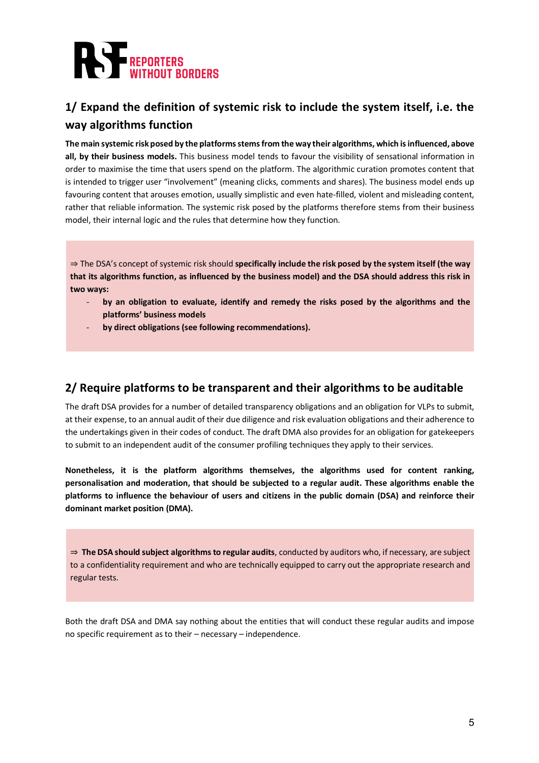

## **1/ Expand the definition of systemic risk to include the system itself, i.e. the way algorithms function**

The main systemic risk posed by the platforms stems from the way their algorithms, which is influenced, above **all, by their business models.** This business model tends to favour the visibility of sensational information in order to maximise the time that users spend on the platform. The algorithmic curation promotes content that is intended to trigger user "involvement" (meaning clicks, comments and shares). The business model ends up favouring content that arouses emotion, usually simplistic and even hate-filled, violent and misleading content, rather that reliable information. The systemic risk posed by the platforms therefore stems from their business model, their internal logic and the rules that determine how they function.

⇒ The DSA's concept of systemic risk should **specifically include the risk posed by the system itself (the way that its algorithms function, as influenced by the business model) and the DSA should address this risk in two ways:**

- **by an obligation to evaluate, identify and remedy the risks posed by the algorithms and the platforms' business models**
- **by direct obligations (see following recommendations).**

### **2/ Require platforms to be transparent and their algorithms to be auditable**

The draft DSA provides for a number of detailed transparency obligations and an obligation for VLPs to submit, at their expense, to an annual audit of their due diligence and risk evaluation obligations and their adherence to the undertakings given in their codes of conduct. The draft DMA also provides for an obligation for gatekeepers to submit to an independent audit of the consumer profiling techniques they apply to their services.

**Nonetheless, it is the platform algorithms themselves, the algorithms used for content ranking, personalisation and moderation, that should be subjected to a regular audit. These algorithms enable the platforms to influence the behaviour of users and citizens in the public domain (DSA) and reinforce their dominant market position (DMA).** 

⇒ **The DSA should subject algorithmsto regular audits**, conducted by auditors who, if necessary, are subject to a confidentiality requirement and who are technically equipped to carry out the appropriate research and regular tests.

Both the draft DSA and DMA say nothing about the entities that will conduct these regular audits and impose no specific requirement as to their – necessary – independence.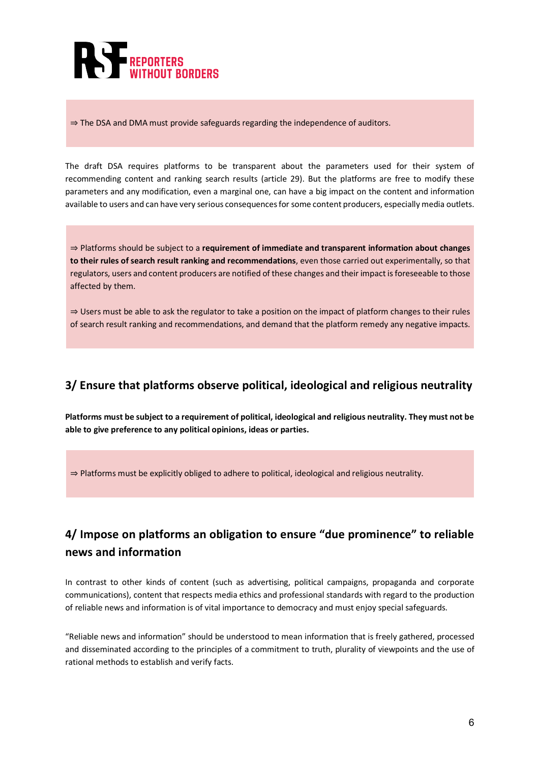

⇒ The DSA and DMA must provide safeguards regarding the independence of auditors.

The draft DSA requires platforms to be transparent about the parameters used for their system of recommending content and ranking search results (article 29). But the platforms are free to modify these parameters and any modification, even a marginal one, can have a big impact on the content and information available to users and can have very serious consequences for some content producers, especially media outlets.

⇒ Platforms should be subject to a **requirement of immediate and transparent information about changes to their rules of search result ranking and recommendations**, even those carried out experimentally, so that regulators, users and content producers are notified of these changes and their impact is foreseeable to those affected by them.

⇒ Users must be able to ask the regulator to take a position on the impact of platform changes to their rules of search result ranking and recommendations, and demand that the platform remedy any negative impacts.

### **3/ Ensure that platforms observe political, ideological and religious neutrality**

**Platforms must be subject to a requirement of political, ideological and religious neutrality. They must not be able to give preference to any political opinions, ideas or parties.** 

⇒ Platforms must be explicitly obliged to adhere to political, ideological and religious neutrality.

## **4/ Impose on platforms an obligation to ensure "due prominence" to reliable news and information**

In contrast to other kinds of content (such as advertising, political campaigns, propaganda and corporate communications), content that respects media ethics and professional standards with regard to the production of reliable news and information is of vital importance to democracy and must enjoy special safeguards.

"Reliable news and information" should be understood to mean information that is freely gathered, processed and disseminated according to the principles of a commitment to truth, plurality of viewpoints and the use of rational methods to establish and verify facts.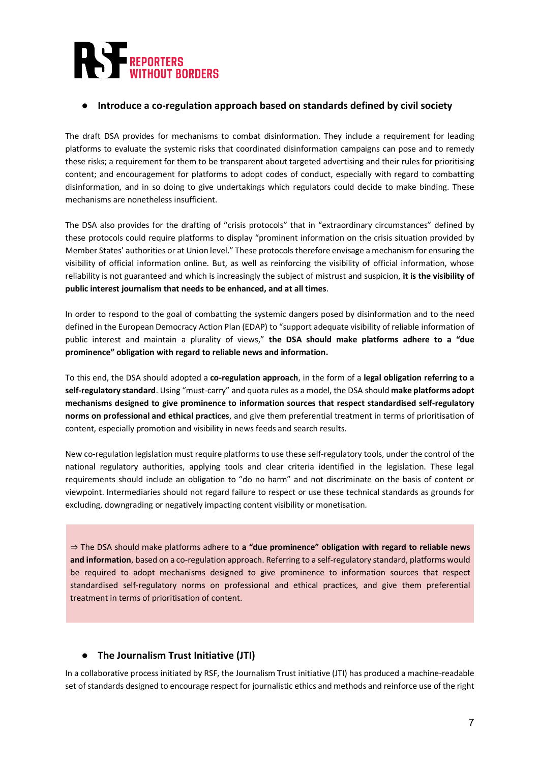## REPORTERS<br>WITHOUT BORDERS

#### ● **Introduce a co-regulation approach based on standards defined by civil society**

The draft DSA provides for mechanisms to combat disinformation. They include a requirement for leading platforms to evaluate the systemic risks that coordinated disinformation campaigns can pose and to remedy these risks; a requirement for them to be transparent about targeted advertising and their rules for prioritising content; and encouragement for platforms to adopt codes of conduct, especially with regard to combatting disinformation, and in so doing to give undertakings which regulators could decide to make binding. These mechanisms are nonetheless insufficient.

The DSA also provides for the drafting of "crisis protocols" that in "extraordinary circumstances" defined by these protocols could require platforms to display "prominent information on the crisis situation provided by Member States' authorities or at Union level." These protocols therefore envisage a mechanism for ensuring the visibility of official information online. But, as well as reinforcing the visibility of official information, whose reliability is not guaranteed and which is increasingly the subject of mistrust and suspicion, **it is the visibility of public interest journalism that needs to be enhanced, and at all times**.

In order to respond to the goal of combatting the systemic dangers posed by disinformation and to the need defined in the European Democracy Action Plan (EDAP) to "support adequate visibility of reliable information of public interest and maintain a plurality of views," **the DSA should make platforms adhere to a "due prominence" obligation with regard to reliable news and information.**

To this end, the DSA should adopted a **co-regulation approach**, in the form of a **legal obligation referring to a self-regulatory standard**. Using "must-carry" and quota rules as a model, the DSA should **make platforms adopt mechanisms designed to give prominence to information sources that respect standardised self-regulatory norms on professional and ethical practices**, and give them preferential treatment in terms of prioritisation of content, especially promotion and visibility in news feeds and search results.

New co-regulation legislation must require platforms to use these self-regulatory tools, under the control of the national regulatory authorities, applying tools and clear criteria identified in the legislation. These legal requirements should include an obligation to "do no harm" and not discriminate on the basis of content or viewpoint. Intermediaries should not regard failure to respect or use these technical standards as grounds for excluding, downgrading or negatively impacting content visibility or monetisation.

⇒ The DSA should make platforms adhere to **a "due prominence" obligation with regard to reliable news and information**, based on a co-regulation approach. Referring to a self-regulatory standard, platforms would be required to adopt mechanisms designed to give prominence to information sources that respect standardised self-regulatory norms on professional and ethical practices, and give them preferential treatment in terms of prioritisation of content.

#### ● **The Journalism Trust Initiative (JTI)**

In a collaborative process initiated by RSF, the Journalism Trust initiative (JTI) has produced a machine-readable set of standards designed to encourage respect for journalistic ethics and methods and reinforce use of the right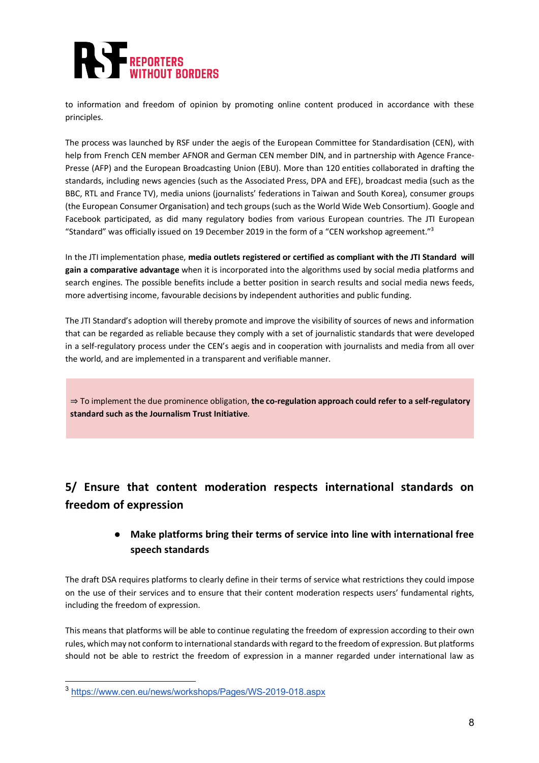to information and freedom of opinion by promoting online content produced in accordance with these principles.

The process was launched by RSF under the aegis of the European Committee for Standardisation (CEN), with help from French CEN member AFNOR and German CEN member DIN, and in partnership with Agence France-Presse (AFP) and the European Broadcasting Union (EBU). More than 120 entities collaborated in drafting the standards, including news agencies (such as the Associated Press, DPA and EFE), broadcast media (such as the BBC, RTL and France TV), media unions (journalists' federations in Taiwan and South Korea), consumer groups (the European Consumer Organisation) and tech groups (such as the World Wide Web Consortium). Google and Facebook participated, as did many regulatory bodies from various European countries. The JTI European "Standard" was officially issued on 19 December 2019 in the form of a "CEN workshop agreement."3

In the JTI implementation phase, **media outlets registered or certified as compliant with the JTI Standard will gain a comparative advantage** when it is incorporated into the algorithms used by social media platforms and search engines. The possible benefits include a better position in search results and social media news feeds, more advertising income, favourable decisions by independent authorities and public funding.

The JTI Standard's adoption will thereby promote and improve the visibility of sources of news and information that can be regarded as reliable because they comply with a set of journalistic standards that were developed in a self-regulatory process under the CEN's aegis and in cooperation with journalists and media from all over the world, and are implemented in a transparent and verifiable manner.

⇒ To implement the due prominence obligation, **the co-regulation approach could refer to a self-regulatory standard such as the Journalism Trust Initiative**.

## **5/ Ensure that content moderation respects international standards on freedom of expression**

### ● **Make platforms bring their terms of service into line with international free speech standards**

The draft DSA requires platforms to clearly define in their terms of service what restrictions they could impose on the use of their services and to ensure that their content moderation respects users' fundamental rights, including the freedom of expression.

This means that platforms will be able to continue regulating the freedom of expression according to their own rules, which may not conform to international standards with regard to the freedom of expression. But platforms should not be able to restrict the freedom of expression in a manner regarded under international law as

 <sup>3</sup> https://www.cen.eu/news/workshops/Pages/WS-2019-018.aspx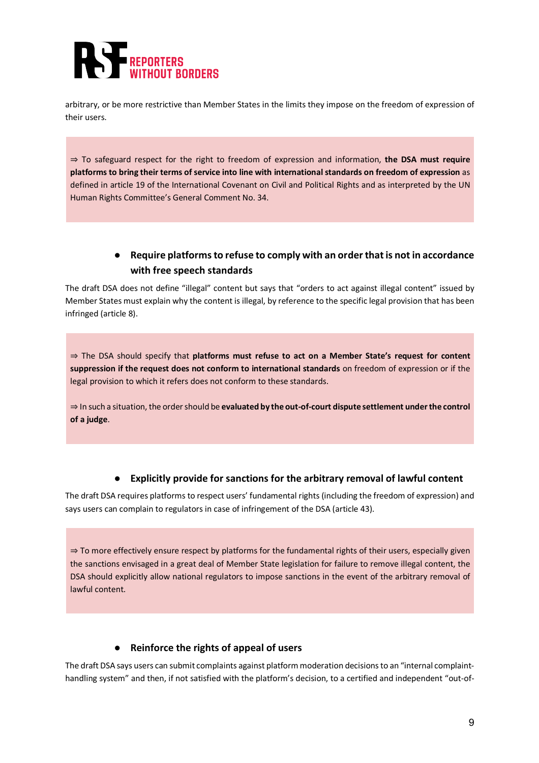arbitrary, or be more restrictive than Member States in the limits they impose on the freedom of expression of their users.

⇒ To safeguard respect for the right to freedom of expression and information, **the DSA must require platforms to bring their terms of service into line with international standards on freedom of expression** as defined in article 19 of the International Covenant on Civil and Political Rights and as interpreted by the UN Human Rights Committee's General Comment No. 34.

### ● **Require platforms to refuse to comply with an order that is not in accordance with free speech standards**

The draft DSA does not define "illegal" content but says that "orders to act against illegal content" issued by Member States must explain why the content is illegal, by reference to the specific legal provision that has been infringed (article 8).

⇒ The DSA should specify that **platforms must refuse to act on a Member State's request for content suppression if the request does not conform to international standards** on freedom of expression or if the legal provision to which it refers does not conform to these standards.

⇒ In such a situation, the order should be **evaluated by the out-of-court dispute settlement under the control of a judge**.

#### ● **Explicitly provide for sanctions for the arbitrary removal of lawful content**

The draft DSA requires platforms to respect users' fundamental rights (including the freedom of expression) and says users can complain to regulators in case of infringement of the DSA (article 43).

⇒ To more effectively ensure respect by platforms for the fundamental rights of their users, especially given the sanctions envisaged in a great deal of Member State legislation for failure to remove illegal content, the DSA should explicitly allow national regulators to impose sanctions in the event of the arbitrary removal of lawful content.

#### ● **Reinforce the rights of appeal of users**

The draft DSA says users can submit complaints against platform moderation decisions to an "internal complainthandling system" and then, if not satisfied with the platform's decision, to a certified and independent "out-of-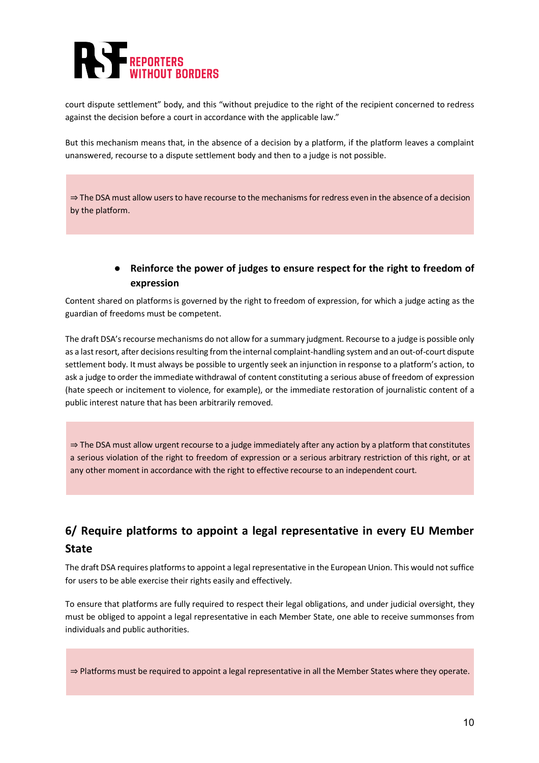court dispute settlement" body, and this "without prejudice to the right of the recipient concerned to redress against the decision before a court in accordance with the applicable law."

But this mechanism means that, in the absence of a decision by a platform, if the platform leaves a complaint unanswered, recourse to a dispute settlement body and then to a judge is not possible.

⇒ The DSA must allow users to have recourse to the mechanisms for redress even in the absence of a decision by the platform.

### ● **Reinforce the power of judges to ensure respect for the right to freedom of expression**

Content shared on platforms is governed by the right to freedom of expression, for which a judge acting as the guardian of freedoms must be competent.

The draft DSA's recourse mechanisms do not allow for a summary judgment. Recourse to a judge is possible only as a last resort, after decisions resulting from the internal complaint-handling system and an out-of-court dispute settlement body. It must always be possible to urgently seek an injunction in response to a platform's action, to ask a judge to order the immediate withdrawal of content constituting a serious abuse of freedom of expression (hate speech or incitement to violence, for example), or the immediate restoration of journalistic content of a public interest nature that has been arbitrarily removed.

⇒ The DSA must allow urgent recourse to a judge immediately after any action by a platform that constitutes a serious violation of the right to freedom of expression or a serious arbitrary restriction of this right, or at any other moment in accordance with the right to effective recourse to an independent court.

## **6/ Require platforms to appoint a legal representative in every EU Member State**

The draft DSA requires platforms to appoint a legal representative in the European Union. This would not suffice for users to be able exercise their rights easily and effectively.

To ensure that platforms are fully required to respect their legal obligations, and under judicial oversight, they must be obliged to appoint a legal representative in each Member State, one able to receive summonses from individuals and public authorities.

⇒ Platforms must be required to appoint a legal representative in all the Member States where they operate.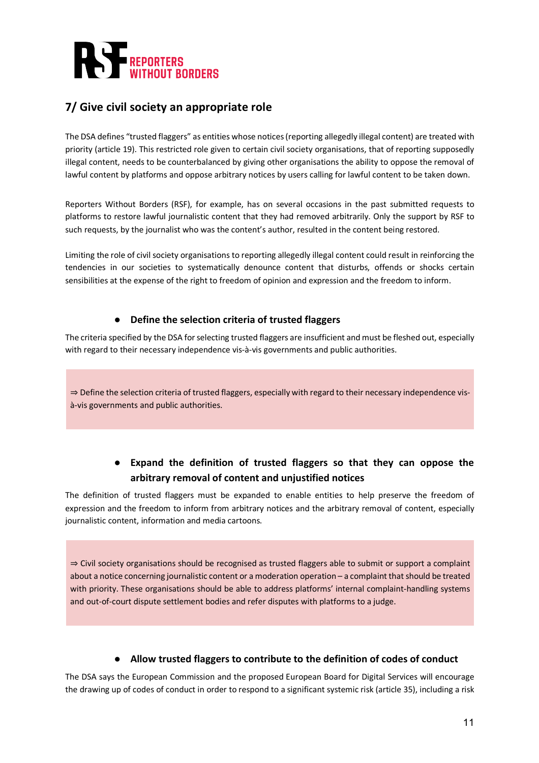

## **7/ Give civil society an appropriate role**

The DSA defines "trusted flaggers" as entities whose notices (reporting allegedly illegal content) are treated with priority (article 19). This restricted role given to certain civil society organisations, that of reporting supposedly illegal content, needs to be counterbalanced by giving other organisations the ability to oppose the removal of lawful content by platforms and oppose arbitrary notices by users calling for lawful content to be taken down.

Reporters Without Borders (RSF), for example, has on several occasions in the past submitted requests to platforms to restore lawful journalistic content that they had removed arbitrarily. Only the support by RSF to such requests, by the journalist who was the content's author, resulted in the content being restored.

Limiting the role of civil society organisations to reporting allegedly illegal content could result in reinforcing the tendencies in our societies to systematically denounce content that disturbs, offends or shocks certain sensibilities at the expense of the right to freedom of opinion and expression and the freedom to inform.

#### ● **Define the selection criteria of trusted flaggers**

The criteria specified by the DSA for selecting trusted flaggers are insufficient and must be fleshed out, especially with regard to their necessary independence vis-à-vis governments and public authorities.

⇒ Define the selection criteria of trusted flaggers, especially with regard to their necessary independence visà-vis governments and public authorities.

### ● **Expand the definition of trusted flaggers so that they can oppose the arbitrary removal of content and unjustified notices**

The definition of trusted flaggers must be expanded to enable entities to help preserve the freedom of expression and the freedom to inform from arbitrary notices and the arbitrary removal of content, especially journalistic content, information and media cartoons.

⇒ Civil society organisations should be recognised as trusted flaggers able to submit or support a complaint about a notice concerning journalistic content or a moderation operation – a complaint that should be treated with priority. These organisations should be able to address platforms' internal complaint-handling systems and out-of-court dispute settlement bodies and refer disputes with platforms to a judge.

#### ● **Allow trusted flaggers to contribute to the definition of codes of conduct**

The DSA says the European Commission and the proposed European Board for Digital Services will encourage the drawing up of codes of conduct in order to respond to a significant systemic risk (article 35), including a risk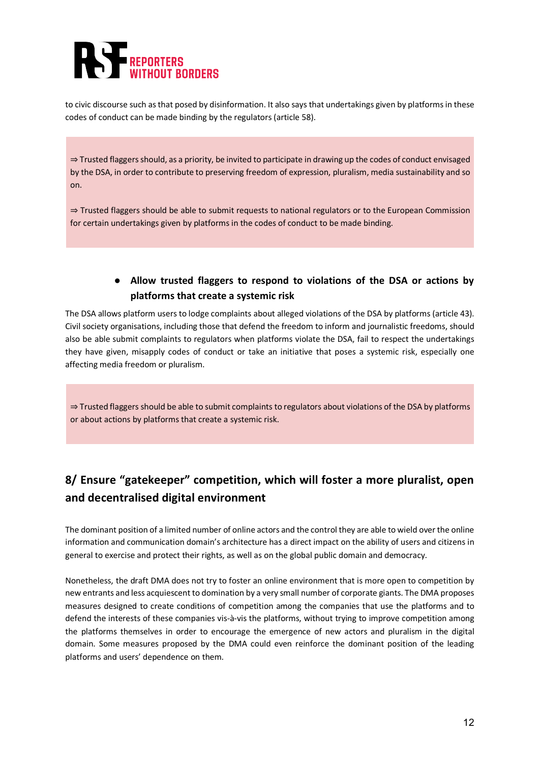to civic discourse such as that posed by disinformation. It also says that undertakings given by platforms in these codes of conduct can be made binding by the regulators (article 58).

⇒ Trusted flaggers should, as a priority, be invited to participate in drawing up the codes of conduct envisaged by the DSA, in order to contribute to preserving freedom of expression, pluralism, media sustainability and so on.

⇒ Trusted flaggers should be able to submit requests to national regulators or to the European Commission for certain undertakings given by platforms in the codes of conduct to be made binding.

## ● **Allow trusted flaggers to respond to violations of the DSA or actions by platforms that create a systemic risk**

The DSA allows platform users to lodge complaints about alleged violations of the DSA by platforms (article 43). Civil society organisations, including those that defend the freedom to inform and journalistic freedoms, should also be able submit complaints to regulators when platforms violate the DSA, fail to respect the undertakings they have given, misapply codes of conduct or take an initiative that poses a systemic risk, especially one affecting media freedom or pluralism.

⇒ Trusted flaggers should be able to submit complaints to regulators about violations of the DSA by platforms or about actions by platforms that create a systemic risk.

## **8/ Ensure "gatekeeper" competition, which will foster a more pluralist, open and decentralised digital environment**

The dominant position of a limited number of online actors and the control they are able to wield over the online information and communication domain's architecture has a direct impact on the ability of users and citizens in general to exercise and protect their rights, as well as on the global public domain and democracy.

Nonetheless, the draft DMA does not try to foster an online environment that is more open to competition by new entrants and less acquiescent to domination by a very small number of corporate giants. The DMA proposes measures designed to create conditions of competition among the companies that use the platforms and to defend the interests of these companies vis-à-vis the platforms, without trying to improve competition among the platforms themselves in order to encourage the emergence of new actors and pluralism in the digital domain. Some measures proposed by the DMA could even reinforce the dominant position of the leading platforms and users' dependence on them.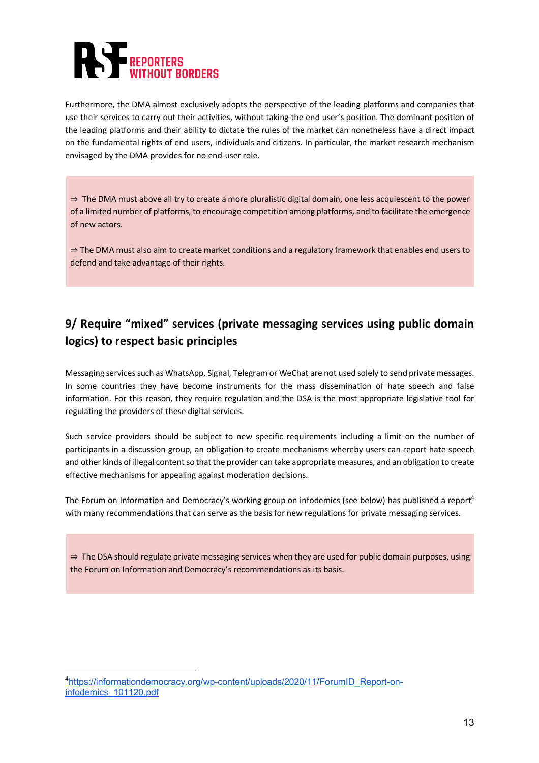Furthermore, the DMA almost exclusively adopts the perspective of the leading platforms and companies that use their services to carry out their activities, without taking the end user's position. The dominant position of the leading platforms and their ability to dictate the rules of the market can nonetheless have a direct impact on the fundamental rights of end users, individuals and citizens. In particular, the market research mechanism envisaged by the DMA provides for no end-user role.

⇒ The DMA must above all try to create a more pluralistic digital domain, one less acquiescent to the power of a limited number of platforms, to encourage competition among platforms, and to facilitate the emergence of new actors.

⇒ The DMA must also aim to create market conditions and a regulatory framework that enables end users to defend and take advantage of their rights.

## **9/ Require "mixed" services (private messaging services using public domain logics) to respect basic principles**

Messaging services such as WhatsApp, Signal, Telegram or WeChat are not used solely to send private messages. In some countries they have become instruments for the mass dissemination of hate speech and false information. For this reason, they require regulation and the DSA is the most appropriate legislative tool for regulating the providers of these digital services.

Such service providers should be subject to new specific requirements including a limit on the number of participants in a discussion group, an obligation to create mechanisms whereby users can report hate speech and other kinds of illegal content so that the provider can take appropriate measures, and an obligation to create effective mechanisms for appealing against moderation decisions.

The Forum on Information and Democracy's working group on infodemics (see below) has published a report<sup>4</sup> with many recommendations that can serve as the basis for new regulations for private messaging services.

⇒ The DSA should regulate private messaging services when they are used for public domain purposes, using the Forum on Information and Democracy's recommendations as its basis.

 4 https://informationdemocracy.org/wp-content/uploads/2020/11/ForumID\_Report-oninfodemics\_101120.pdf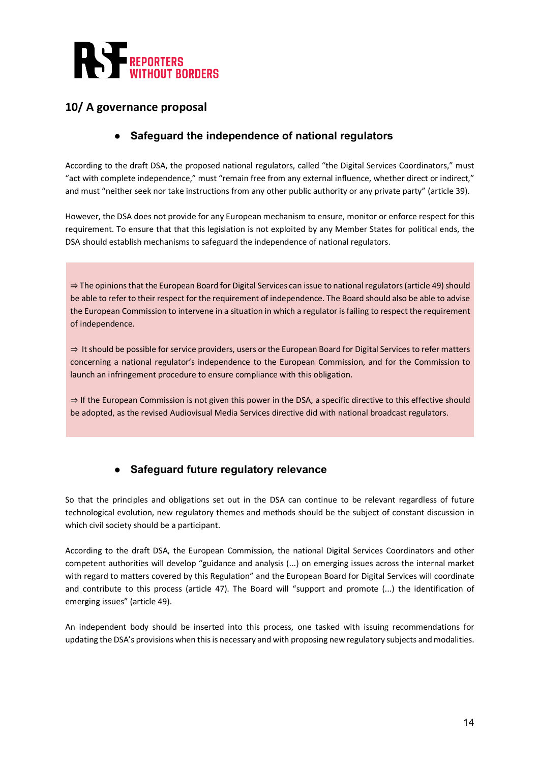

## **10/ A governance proposal**

### ● **Safeguard the independence of national regulators**

According to the draft DSA, the proposed national regulators, called "the Digital Services Coordinators," must "act with complete independence," must "remain free from any external influence, whether direct or indirect," and must "neither seek nor take instructions from any other public authority or any private party" (article 39).

However, the DSA does not provide for any European mechanism to ensure, monitor or enforce respect for this requirement. To ensure that that this legislation is not exploited by any Member States for political ends, the DSA should establish mechanisms to safeguard the independence of national regulators.

⇒ The opinionsthat the European Board for Digital Services can issue to national regulators (article 49) should be able to refer to their respect for the requirement of independence. The Board should also be able to advise the European Commission to intervene in a situation in which a regulator is failing to respect the requirement of independence.

⇒ It should be possible for service providers, users or the European Board for Digital Services to refer matters concerning a national regulator's independence to the European Commission, and for the Commission to launch an infringement procedure to ensure compliance with this obligation.

⇒ If the European Commission is not given this power in the DSA, a specific directive to this effective should be adopted, as the revised Audiovisual Media Services directive did with national broadcast regulators.

### ● **Safeguard future regulatory relevance**

So that the principles and obligations set out in the DSA can continue to be relevant regardless of future technological evolution, new regulatory themes and methods should be the subject of constant discussion in which civil society should be a participant.

According to the draft DSA, the European Commission, the national Digital Services Coordinators and other competent authorities will develop "guidance and analysis (...) on emerging issues across the internal market with regard to matters covered by this Regulation" and the European Board for Digital Services will coordinate and contribute to this process (article 47). The Board will "support and promote (...) the identification of emerging issues" (article 49).

An independent body should be inserted into this process, one tasked with issuing recommendations for updating the DSA's provisions when this is necessary and with proposing new regulatory subjects and modalities.